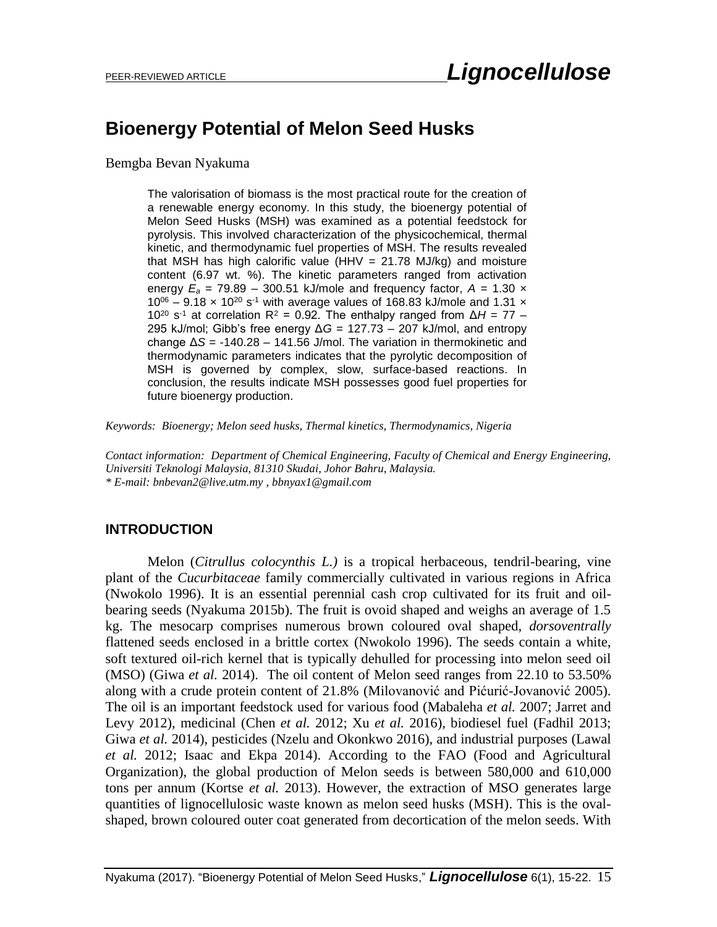# **Bioenergy Potential of Melon Seed Husks**

Bemgba Bevan Nyakuma

The valorisation of biomass is the most practical route for the creation of a renewable energy economy. In this study, the bioenergy potential of Melon Seed Husks (MSH) was examined as a potential feedstock for pyrolysis. This involved characterization of the physicochemical, thermal kinetic, and thermodynamic fuel properties of MSH. The results revealed that MSH has high calorific value (HHV  $= 21.78$  MJ/kg) and moisture content (6.97 wt. %). The kinetic parameters ranged from activation energy  $E_a = 79.89 - 300.51$  kJ/mole and frequency factor,  $A = 1.30$  x  $10^{06}$  – 9.18 x 10<sup>20</sup> s<sup>-1</sup> with average values of 168.83 kJ/mole and 1.31 x 10<sup>20</sup> s<sup>-1</sup> at correlation R<sup>2</sup> = 0.92. The enthalpy ranged from Δ*H* = 77 – 295 kJ/mol; Gibb's free energy Δ*G* = 127.73 – 207 kJ/mol, and entropy change Δ*S* = -140.28 – 141.56 J/mol. The variation in thermokinetic and thermodynamic parameters indicates that the pyrolytic decomposition of MSH is governed by complex, slow, surface-based reactions. In conclusion, the results indicate MSH possesses good fuel properties for future bioenergy production.

*Keywords: Bioenergy; Melon seed husks, Thermal kinetics, Thermodynamics, Nigeria*

*Contact information: Department of Chemical Engineering, Faculty of Chemical and Energy Engineering, Universiti Teknologi Malaysia, 81310 Skudai, Johor Bahru, Malaysia. \* E-mail[: bnbevan2@live.utm.my](mailto:bnbevan2@live.utm.my%20,%20bbnyax1@gmail.com)* , *bbnyax1@gmail.com*

## **INTRODUCTION**

Melon (*Citrullus colocynthis L.)* is a tropical herbaceous, tendril-bearing, vine plant of the *Cucurbitaceae* family commercially cultivated in various regions in Africa (Nwokolo 1996). It is an essential perennial cash crop cultivated for its fruit and oilbearing seeds (Nyakuma 2015b). The fruit is ovoid shaped and weighs an average of 1.5 kg. The mesocarp comprises numerous brown coloured oval shaped, *dorsoventrally* flattened seeds enclosed in a brittle cortex (Nwokolo 1996). The seeds contain a white, soft textured oil-rich kernel that is typically dehulled for processing into melon seed oil (MSO) (Giwa *et al.* 2014). The oil content of Melon seed ranges from 22.10 to 53.50% along with a crude protein content of 21.8% (Milovanović and Pićurić-Jovanović 2005). The oil is an important feedstock used for various food (Mabaleha *et al.* 2007; Jarret and Levy 2012), medicinal (Chen *et al.* 2012; Xu *et al.* 2016), biodiesel fuel (Fadhil 2013; Giwa *et al.* 2014), pesticides (Nzelu and Okonkwo 2016), and industrial purposes (Lawal *et al.* 2012; Isaac and Ekpa 2014). According to the FAO (Food and Agricultural Organization), the global production of Melon seeds is between 580,000 and 610,000 tons per annum (Kortse *et al.* 2013). However, the extraction of MSO generates large quantities of lignocellulosic waste known as melon seed husks (MSH). This is the ovalshaped, brown coloured outer coat generated from decortication of the melon seeds. With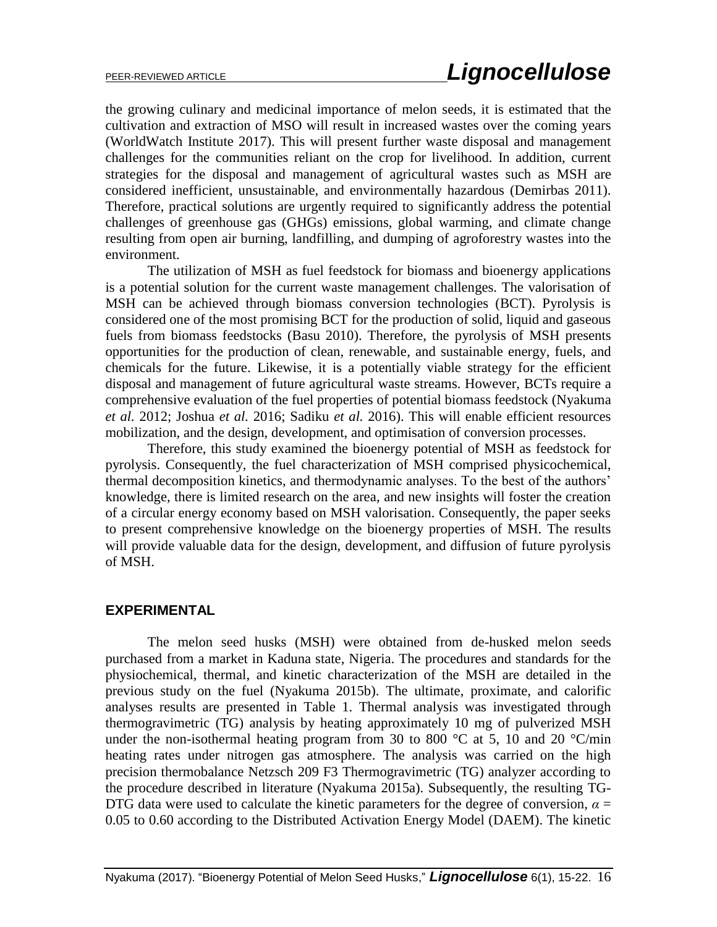the growing culinary and medicinal importance of melon seeds, it is estimated that the cultivation and extraction of MSO will result in increased wastes over the coming years (WorldWatch Institute 2017). This will present further waste disposal and management challenges for the communities reliant on the crop for livelihood. In addition, current strategies for the disposal and management of agricultural wastes such as MSH are considered inefficient, unsustainable, and environmentally hazardous (Demirbas 2011). Therefore, practical solutions are urgently required to significantly address the potential challenges of greenhouse gas (GHGs) emissions, global warming, and climate change resulting from open air burning, landfilling, and dumping of agroforestry wastes into the environment.

The utilization of MSH as fuel feedstock for biomass and bioenergy applications is a potential solution for the current waste management challenges. The valorisation of MSH can be achieved through biomass conversion technologies (BCT). Pyrolysis is considered one of the most promising BCT for the production of solid, liquid and gaseous fuels from biomass feedstocks (Basu 2010). Therefore, the pyrolysis of MSH presents opportunities for the production of clean, renewable, and sustainable energy, fuels, and chemicals for the future. Likewise, it is a potentially viable strategy for the efficient disposal and management of future agricultural waste streams. However, BCTs require a comprehensive evaluation of the fuel properties of potential biomass feedstock (Nyakuma *et al.* 2012; Joshua *et al.* 2016; Sadiku *et al.* 2016). This will enable efficient resources mobilization, and the design, development, and optimisation of conversion processes.

Therefore, this study examined the bioenergy potential of MSH as feedstock for pyrolysis. Consequently, the fuel characterization of MSH comprised physicochemical, thermal decomposition kinetics, and thermodynamic analyses. To the best of the authors' knowledge, there is limited research on the area, and new insights will foster the creation of a circular energy economy based on MSH valorisation. Consequently, the paper seeks to present comprehensive knowledge on the bioenergy properties of MSH. The results will provide valuable data for the design, development, and diffusion of future pyrolysis of MSH.

#### **EXPERIMENTAL**

The melon seed husks (MSH) were obtained from de-husked melon seeds purchased from a market in Kaduna state, Nigeria. The procedures and standards for the physiochemical, thermal, and kinetic characterization of the MSH are detailed in the previous study on the fuel (Nyakuma 2015b). The ultimate, proximate, and calorific analyses results are presented in Table 1. Thermal analysis was investigated through thermogravimetric (TG) analysis by heating approximately 10 mg of pulverized MSH under the non-isothermal heating program from 30 to 800  $\degree$ C at 5, 10 and 20  $\degree$ C/min heating rates under nitrogen gas atmosphere. The analysis was carried on the high precision thermobalance Netzsch 209 F3 Thermogravimetric (TG) analyzer according to the procedure described in literature (Nyakuma 2015a). Subsequently, the resulting TG-DTG data were used to calculate the kinetic parameters for the degree of conversion,  $\alpha$  = 0.05 to 0.60 according to the Distributed Activation Energy Model (DAEM). The kinetic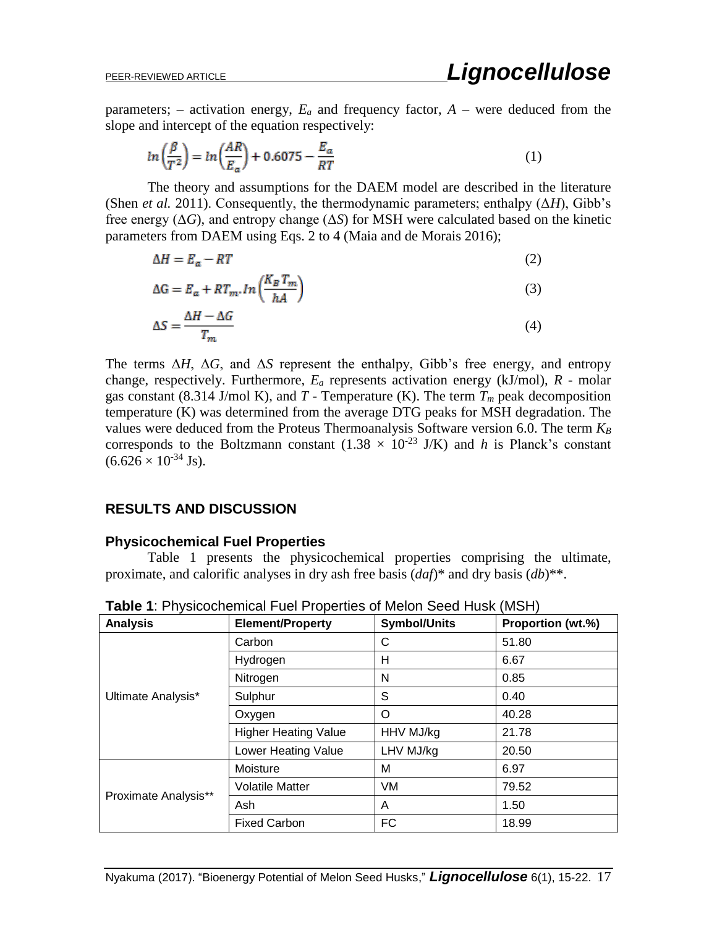parameters; – activation energy,  $E_a$  and frequency factor,  $A$  – were deduced from the slope and intercept of the equation respectively:

$$
ln\left(\frac{\beta}{T^2}\right) = ln\left(\frac{AR}{E_a}\right) + 0.6075 - \frac{E_a}{RT}
$$
\n<sup>(1)</sup>

The theory and assumptions for the DAEM model are described in the literature (Shen *et al.* 2011). Consequently, the thermodynamic parameters; enthalpy (Δ*H*), Gibb's free energy  $(\Delta G)$ , and entropy change  $(\Delta S)$  for MSH were calculated based on the kinetic parameters from DAEM using Eqs. 2 to 4 (Maia and de Morais 2016);

$$
\Delta H = E_a - RT \tag{2}
$$

$$
\Delta G = E_a + RT_m \cdot \ln\left(\frac{K_B T_m}{hA}\right) \tag{3}
$$

$$
\Delta S = \frac{\Delta H - \Delta G}{T_m} \tag{4}
$$

The terms  $\Delta H$ ,  $\Delta G$ , and  $\Delta S$  represent the enthalpy, Gibb's free energy, and entropy change, respectively. Furthermore, *E<sup>a</sup>* represents activation energy (kJ/mol), *R -* molar gas constant (8.314 J/mol K), and  $T$  - Temperature (K). The term  $T_m$  peak decomposition temperature (K) was determined from the average DTG peaks for MSH degradation. The values were deduced from the Proteus Thermoanalysis Software version 6.0. The term *K<sup>B</sup>* corresponds to the Boltzmann constant  $(1.38 \times 10^{-23} \text{ J/K})$  and *h* is Planck's constant  $(6.626 \times 10^{-34} \text{ Js})$ .

### **RESULTS AND DISCUSSION**

#### **Physicochemical Fuel Properties**

Table 1 presents the physicochemical properties comprising the ultimate, proximate, and calorific analyses in dry ash free basis (*daf*)\* and dry basis (*db*)\*\*.

| <b>Analysis</b>      | <b>Element/Property</b>     | <b>Symbol/Units</b> | Proportion (wt.%) |
|----------------------|-----------------------------|---------------------|-------------------|
| Ultimate Analysis*   | Carbon                      | С                   | 51.80             |
|                      | Hydrogen                    | н                   | 6.67              |
|                      | Nitrogen                    | N                   | 0.85              |
|                      | Sulphur                     | S                   | 0.40              |
|                      | Oxygen                      | O                   | 40.28             |
|                      | <b>Higher Heating Value</b> | HHV MJ/kg           | 21.78             |
|                      | Lower Heating Value         | LHV MJ/kg           | 20.50             |
| Proximate Analysis** | Moisture                    | M                   | 6.97              |
|                      | <b>Volatile Matter</b>      | VM                  | 79.52             |
|                      | Ash                         | A                   | 1.50              |
|                      | <b>Fixed Carbon</b>         | <b>FC</b>           | 18.99             |

**Table 1**: Physicochemical Fuel Properties of Melon Seed Husk (MSH)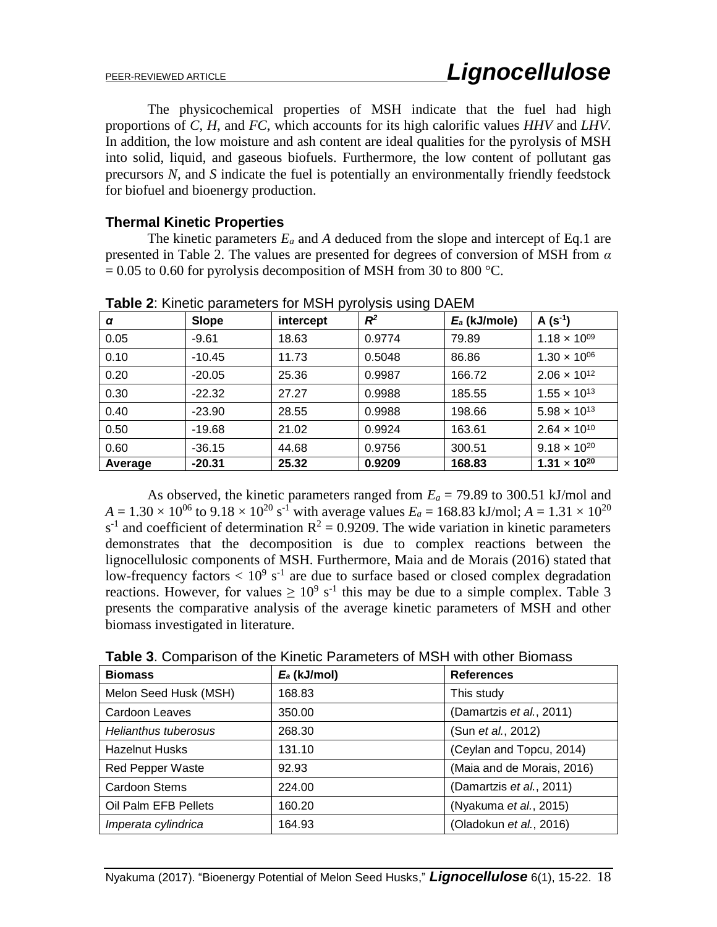The physicochemical properties of MSH indicate that the fuel had high proportions of *C*, *H*, and *FC*, which accounts for its high calorific values *HHV* and *LHV*. In addition, the low moisture and ash content are ideal qualities for the pyrolysis of MSH into solid, liquid, and gaseous biofuels. Furthermore, the low content of pollutant gas precursors *N,* and *S* indicate the fuel is potentially an environmentally friendly feedstock for biofuel and bioenergy production.

## **Thermal Kinetic Properties**

The kinetic parameters  $E_a$  and A deduced from the slope and intercept of Eq.1 are presented in Table 2. The values are presented for degrees of conversion of MSH from *α*  $= 0.05$  to 0.60 for pyrolysis decomposition of MSH from 30 to 800 °C.

| α       | Slope    | intercept | $R^2$  | $E_a$ (kJ/mole) | $A(s^{-1})$           |
|---------|----------|-----------|--------|-----------------|-----------------------|
| 0.05    | $-9.61$  | 18.63     | 0.9774 | 79.89           | $1.18 \times 10^{09}$ |
| 0.10    | $-10.45$ | 11.73     | 0.5048 | 86.86           | $1.30 \times 10^{06}$ |
| 0.20    | $-20.05$ | 25.36     | 0.9987 | 166.72          | $2.06 \times 10^{12}$ |
| 0.30    | $-22.32$ | 27.27     | 0.9988 | 185.55          | $1.55 \times 10^{13}$ |
| 0.40    | $-23.90$ | 28.55     | 0.9988 | 198.66          | $5.98 \times 10^{13}$ |
| 0.50    | $-19.68$ | 21.02     | 0.9924 | 163.61          | $2.64 \times 10^{10}$ |
| 0.60    | $-36.15$ | 44.68     | 0.9756 | 300.51          | $9.18 \times 10^{20}$ |
| Average | $-20.31$ | 25.32     | 0.9209 | 168.83          | $1.31 \times 10^{20}$ |

**Table 2**: Kinetic parameters for MSH pyrolysis using DAEM

As observed, the kinetic parameters ranged from  $E_a = 79.89$  to 300.51 kJ/mol and  $A = 1.30 \times 10^{06}$  to  $9.18 \times 10^{20}$  s<sup>-1</sup> with average values  $E_a = 168.83$  kJ/mol;  $A = 1.31 \times 10^{20}$  $s^{-1}$  and coefficient of determination  $R^2 = 0.9209$ . The wide variation in kinetic parameters demonstrates that the decomposition is due to complex reactions between the lignocellulosic components of MSH. Furthermore, Maia and de Morais (2016) stated that low-frequency factors  $< 10^9$  s<sup>-1</sup> are due to surface based or closed complex degradation reactions. However, for values  $\geq 10^9$  s<sup>-1</sup> this may be due to a simple complex. Table 3 presents the comparative analysis of the average kinetic parameters of MSH and other biomass investigated in literature.

| <b>Biomass</b>          | $E_a$ (kJ/mol) | <b>References</b>          |
|-------------------------|----------------|----------------------------|
| Melon Seed Husk (MSH)   | 168.83         | This study                 |
| Cardoon Leaves          | 350.00         | (Damartzis et al., 2011)   |
| Helianthus tuberosus    | 268.30         | (Sun et al., 2012)         |
| <b>Hazelnut Husks</b>   | 131.10         | (Ceylan and Topcu, 2014)   |
| <b>Red Pepper Waste</b> | 92.93          | (Maia and de Morais, 2016) |
| <b>Cardoon Stems</b>    | 224.00         | (Damartzis et al., 2011)   |
| Oil Palm EFB Pellets    | 160.20         | (Nyakuma et al., 2015)     |
| Imperata cylindrica     | 164.93         | (Oladokun et al., 2016)    |

**Table 3**. Comparison of the Kinetic Parameters of MSH with other Biomass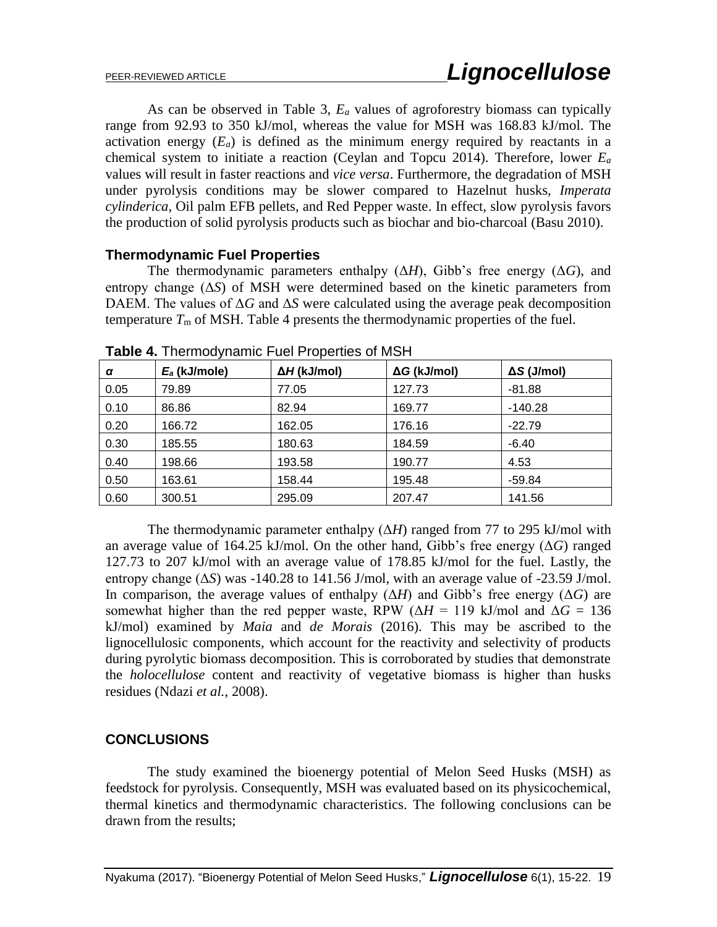As can be observed in Table 3, *E<sup>a</sup>* values of agroforestry biomass can typically range from 92.93 to 350 kJ/mol, whereas the value for MSH was 168.83 kJ/mol. The activation energy  $(E_a)$  is defined as the minimum energy required by reactants in a chemical system to initiate a reaction (Ceylan and Topcu 2014). Therefore, lower *E<sup>a</sup>* values will result in faster reactions and *vice versa*. Furthermore, the degradation of MSH under pyrolysis conditions may be slower compared to Hazelnut husks, *Imperata cylinderica*, Oil palm EFB pellets, and Red Pepper waste. In effect, slow pyrolysis favors the production of solid pyrolysis products such as biochar and bio-charcoal (Basu 2010).

## **Thermodynamic Fuel Properties**

The thermodynamic parameters enthalpy  $(\Delta H)$ , Gibb's free energy  $(\Delta G)$ , and entropy change (Δ*S*) of MSH were determined based on the kinetic parameters from DAEM. The values of  $\Delta G$  and  $\Delta S$  were calculated using the average peak decomposition temperature  $T<sub>m</sub>$  of MSH. Table 4 presents the thermodynamic properties of the fuel.

| α    | $E_a$ (kJ/mole) | $\Delta H$ (kJ/mol) | $\Delta G$ (kJ/mol) | $\Delta S$ (J/mol) |
|------|-----------------|---------------------|---------------------|--------------------|
| 0.05 | 79.89           | 77.05               | 127.73              | $-81.88$           |
| 0.10 | 86.86           | 82.94               | 169.77              | $-140.28$          |
| 0.20 | 166.72          | 162.05              | 176.16              | $-22.79$           |
| 0.30 | 185.55          | 180.63              | 184.59              | $-6.40$            |
| 0.40 | 198.66          | 193.58              | 190.77              | 4.53               |
| 0.50 | 163.61          | 158.44              | 195.48              | $-59.84$           |
| 0.60 | 300.51          | 295.09              | 207.47              | 141.56             |

**Table 4.** Thermodynamic Fuel Properties of MSH

The thermodynamic parameter enthalpy (Δ*H*) ranged from 77 to 295 kJ/mol with an average value of 164.25 kJ/mol. On the other hand, Gibb's free energy (Δ*G*) ranged 127.73 to 207 kJ/mol with an average value of 178.85 kJ/mol for the fuel. Lastly, the entropy change (Δ*S*) was -140.28 to 141.56 J/mol, with an average value of -23.59 J/mol. In comparison, the average values of enthalpy  $(\Delta H)$  and Gibb's free energy  $(\Delta G)$  are somewhat higher than the red pepper waste, RPW ( $\Delta H = 119$  kJ/mol and  $\Delta G = 136$ kJ/mol) examined by *Maia* and *de Morais* (2016). This may be ascribed to the lignocellulosic components, which account for the reactivity and selectivity of products during pyrolytic biomass decomposition. This is corroborated by studies that demonstrate the *holocellulose* content and reactivity of vegetative biomass is higher than husks residues (Ndazi *et al.*, 2008).

## **CONCLUSIONS**

The study examined the bioenergy potential of Melon Seed Husks (MSH) as feedstock for pyrolysis. Consequently, MSH was evaluated based on its physicochemical, thermal kinetics and thermodynamic characteristics. The following conclusions can be drawn from the results;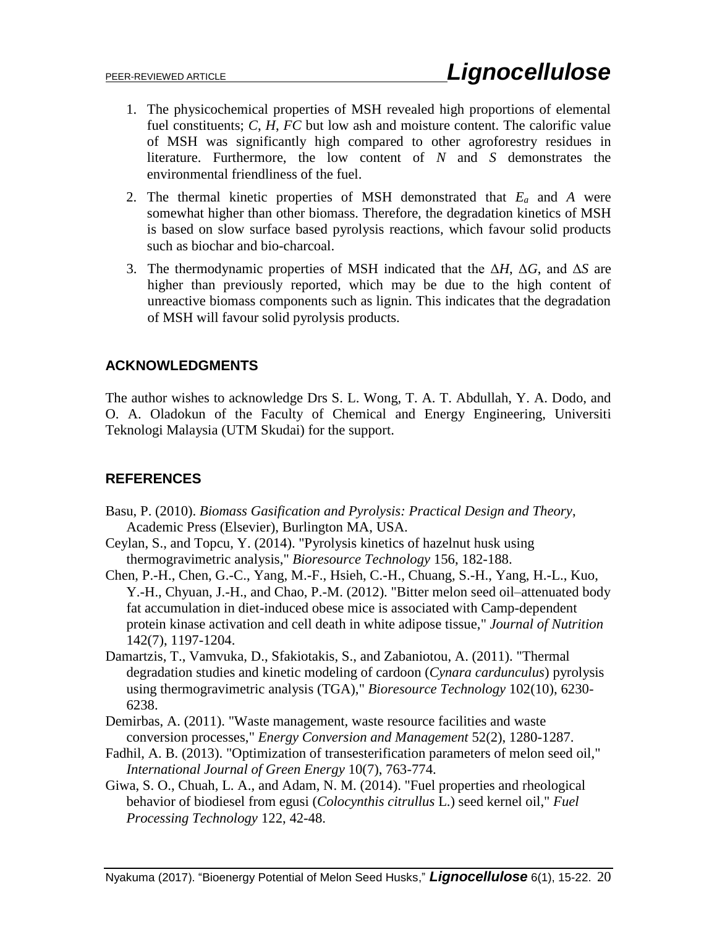- 1. The physicochemical properties of MSH revealed high proportions of elemental fuel constituents; *C*, *H*, *FC* but low ash and moisture content. The calorific value of MSH was significantly high compared to other agroforestry residues in literature. Furthermore, the low content of *N* and *S* demonstrates the environmental friendliness of the fuel.
- 2. The thermal kinetic properties of MSH demonstrated that *E<sup>a</sup>* and *A* were somewhat higher than other biomass. Therefore, the degradation kinetics of MSH is based on slow surface based pyrolysis reactions, which favour solid products such as biochar and bio-charcoal.
- 3. The thermodynamic properties of MSH indicated that the Δ*H*, Δ*G*, and Δ*S* are higher than previously reported, which may be due to the high content of unreactive biomass components such as lignin. This indicates that the degradation of MSH will favour solid pyrolysis products.

## **ACKNOWLEDGMENTS**

The author wishes to acknowledge Drs S. L. Wong, T. A. T. Abdullah, Y. A. Dodo, and O. A. Oladokun of the Faculty of Chemical and Energy Engineering, Universiti Teknologi Malaysia (UTM Skudai) for the support.

## **REFERENCES**

- Basu, P. (2010). *Biomass Gasification and Pyrolysis: Practical Design and Theory*, Academic Press (Elsevier), Burlington MA, USA.
- Ceylan, S., and Topcu, Y. (2014). "Pyrolysis kinetics of hazelnut husk using thermogravimetric analysis," *Bioresource Technology* 156, 182-188.
- Chen, P.-H., Chen, G.-C., Yang, M.-F., Hsieh, C.-H., Chuang, S.-H., Yang, H.-L., Kuo, Y.-H., Chyuan, J.-H., and Chao, P.-M. (2012). "Bitter melon seed oil–attenuated body fat accumulation in diet-induced obese mice is associated with Camp-dependent protein kinase activation and cell death in white adipose tissue," *Journal of Nutrition* 142(7), 1197-1204.
- Damartzis, T., Vamvuka, D., Sfakiotakis, S., and Zabaniotou, A. (2011). "Thermal degradation studies and kinetic modeling of cardoon (*Cynara cardunculus*) pyrolysis using thermogravimetric analysis (TGA)," *Bioresource Technology* 102(10), 6230- 6238.
- Demirbas, A. (2011). "Waste management, waste resource facilities and waste conversion processes," *Energy Conversion and Management* 52(2), 1280-1287.
- Fadhil, A. B. (2013). "Optimization of transesterification parameters of melon seed oil," *International Journal of Green Energy* 10(7), 763-774.
- Giwa, S. O., Chuah, L. A., and Adam, N. M. (2014). "Fuel properties and rheological behavior of biodiesel from egusi (*Colocynthis citrullus* L.) seed kernel oil," *Fuel Processing Technology* 122, 42-48.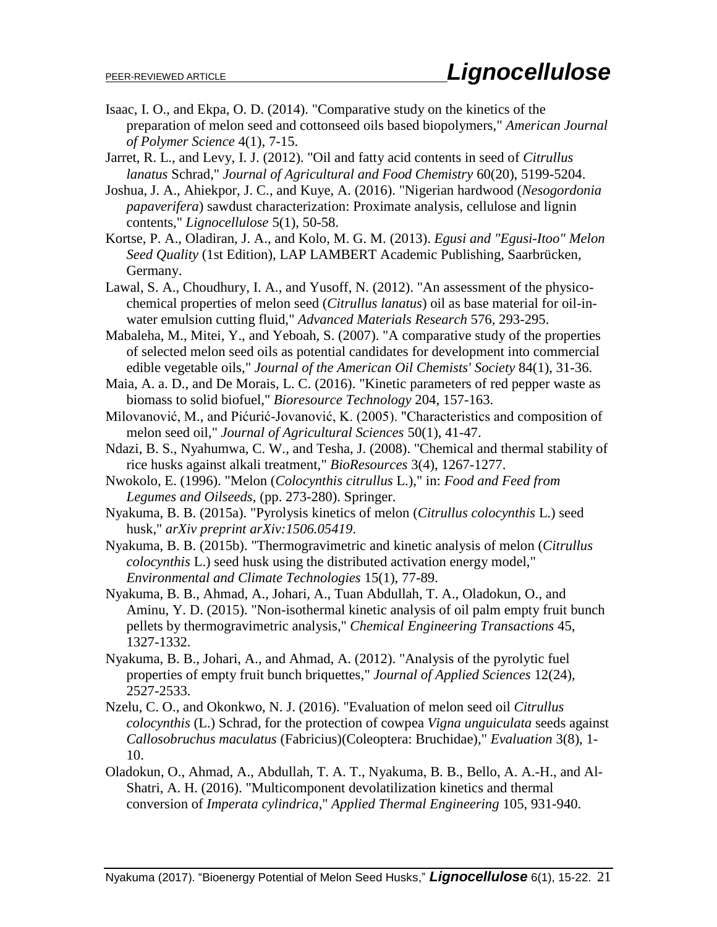- Isaac, I. O., and Ekpa, O. D. (2014). "Comparative study on the kinetics of the preparation of melon seed and cottonseed oils based biopolymers," *American Journal of Polymer Science* 4(1), 7-15.
- Jarret, R. L., and Levy, I. J. (2012). "Oil and fatty acid contents in seed of *Citrullus lanatus* Schrad," *Journal of Agricultural and Food Chemistry* 60(20), 5199-5204.
- Joshua, J. A., Ahiekpor, J. C., and Kuye, A. (2016). "Nigerian hardwood (*Nesogordonia papaverifera*) sawdust characterization: Proximate analysis, cellulose and lignin contents," *Lignocellulose* 5(1), 50-58.
- Kortse, P. A., Oladiran, J. A., and Kolo, M. G. M. (2013). *Egusi and "Egusi-Itoo" Melon Seed Quality* (1st Edition), LAP LAMBERT Academic Publishing, Saarbrücken, Germany.
- Lawal, S. A., Choudhury, I. A., and Yusoff, N. (2012). "An assessment of the physicochemical properties of melon seed (*Citrullus lanatus*) oil as base material for oil-inwater emulsion cutting fluid," *Advanced Materials Research* 576, 293-295.
- Mabaleha, M., Mitei, Y., and Yeboah, S. (2007). "A comparative study of the properties of selected melon seed oils as potential candidates for development into commercial edible vegetable oils," *Journal of the American Oil Chemists' Society* 84(1), 31-36.
- Maia, A. a. D., and De Morais, L. C. (2016). "Kinetic parameters of red pepper waste as biomass to solid biofuel," *Bioresource Technology* 204, 157-163.
- Milovanović, M., and Pićurić-Jovanović, K. (2005). "Characteristics and composition of melon seed oil," *Journal of Agricultural Sciences* 50(1), 41-47.
- Ndazi, B. S., Nyahumwa, C. W., and Tesha, J. (2008). "Chemical and thermal stability of rice husks against alkali treatment," *BioResources* 3(4), 1267-1277.
- Nwokolo, E. (1996). "Melon (*Colocynthis citrullus* L.)," in: *Food and Feed from Legumes and Oilseeds*, (pp. 273-280). Springer.
- Nyakuma, B. B. (2015a). "Pyrolysis kinetics of melon (*Citrullus colocynthis* L.) seed husk," *arXiv preprint arXiv:1506.05419*.
- Nyakuma, B. B. (2015b). "Thermogravimetric and kinetic analysis of melon (*Citrullus colocynthis* L.) seed husk using the distributed activation energy model," *Environmental and Climate Technologies* 15(1), 77-89.
- Nyakuma, B. B., Ahmad, A., Johari, A., Tuan Abdullah, T. A., Oladokun, O., and Aminu, Y. D. (2015). "Non-isothermal kinetic analysis of oil palm empty fruit bunch pellets by thermogravimetric analysis," *Chemical Engineering Transactions* 45, 1327-1332.
- Nyakuma, B. B., Johari, A., and Ahmad, A. (2012). "Analysis of the pyrolytic fuel properties of empty fruit bunch briquettes," *Journal of Applied Sciences* 12(24), 2527-2533.
- Nzelu, C. O., and Okonkwo, N. J. (2016). "Evaluation of melon seed oil *Citrullus colocynthis* (L.) Schrad, for the protection of cowpea *Vigna unguiculata* seeds against *Callosobruchus maculatus* (Fabricius)(Coleoptera: Bruchidae)," *Evaluation* 3(8), 1- 10.
- Oladokun, O., Ahmad, A., Abdullah, T. A. T., Nyakuma, B. B., Bello, A. A.-H., and Al-Shatri, A. H. (2016). "Multicomponent devolatilization kinetics and thermal conversion of *Imperata cylindrica*," *Applied Thermal Engineering* 105, 931-940.